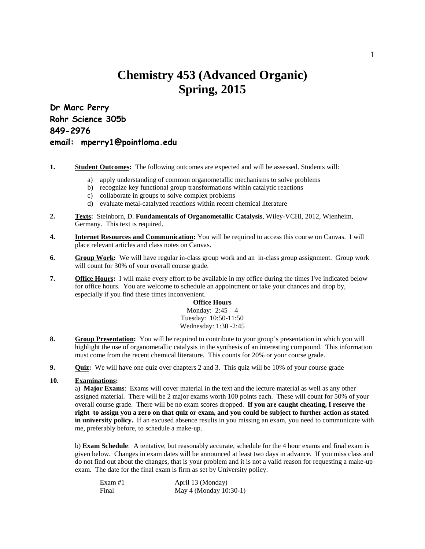## **Chemistry 453 (Advanced Organic) Spring, 2015**

**Dr Marc Perry Rohr Science 305b 849-2976 email: mperry1@pointloma.edu**

- **1. Student Outcomes:** The following outcomes are expected and will be assessed. Students will:
	- a) apply understanding of common organometallic mechanisms to solve problems
	- b) recognize key functional group transformations within catalytic reactions
	- c) collaborate in groups to solve complex problems
	- d) evaluate metal-catalyzed reactions within recent chemical literature
- **2. Texts:** Steinborn, D. **Fundamentals of Organometallic Catalysis**, Wiley-VCHl, 2012, Wienheim, Germany. This text is required.
- **4. Internet Resources and Communication:** You will be required to access this course on Canvas. I will place relevant articles and class notes on Canvas.
- **6. Group Work:** We will have regular in-class group work and an in-class group assignment. Group work will count for 30% of your overall course grade.
- **7. Office Hours:** I will make every effort to be available in my office during the times I've indicated below for office hours. You are welcome to schedule an appointment or take your chances and drop by, especially if you find these times inconvenient.

**Office Hours** Monday: 2:45 – 4 Tuesday: 10:50-11:50 Wednesday: 1:30 -2:45

- **8. Group Presentation:** You will be required to contribute to your group's presentation in which you will highlight the use of organometallic catalysis in the synthesis of an interesting compound. This information must come from the recent chemical literature. This counts for 20% or your course grade.
- **9. Quiz:** We will have one quiz over chapters 2 and 3. This quiz will be 10% of your course grade

## **10. Examinations:**

a) **Major Exams**: Exams will cover material in the text and the lecture material as well as any other assigned material. There will be 2 major exams worth 100 points each. These will count for 50% of your overall course grade. There will be no exam scores dropped. **If you are caught cheating, I reserve the right to assign you a zero on that quiz or exam, and you could be subject to further action as stated in university policy.** If an excused absence results in you missing an exam, you need to communicate with me, preferably before, to schedule a make-up.

b) **Exam Schedule**: A tentative, but reasonably accurate, schedule for the 4 hour exams and final exam is given below. Changes in exam dates will be announced at least two days in advance. If you miss class and do not find out about the changes, that is your problem and it is not a valid reason for requesting a make-up exam. The date for the final exam is firm as set by University policy.

| Exam #1 | April 13 (Monday)      |
|---------|------------------------|
| Final   | May 4 (Monday 10:30-1) |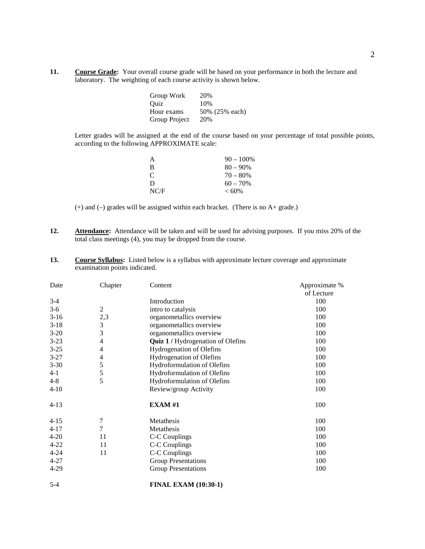**11. Course Grade:** Your overall course grade will be based on your performance in both the lecture and laboratory. The weighting of each course activity is shown below.

| Group Work    | 20%            |
|---------------|----------------|
| Ouiz          | 10%            |
| Hour exams    | 50% (25% each) |
| Group Project | 20%            |

Letter grades will be assigned at the end of the course based on your percentage of total possible points, according to the following APPROXIMATE scale:

| А    | $90 - 100\%$ |
|------|--------------|
| в    | $80 - 90\%$  |
| C    | $70 - 80%$   |
| D    | $60 - 70\%$  |
| NC/F | $< 60\%$     |

(+) and (–) grades will be assigned within each bracket. (There is no A+ grade.)

- **12. Attendance:** Attendance will be taken and will be used for advising purposes. If you miss 20% of the total class meetings (4), you may be dropped from the course.
- **13. Course Syllabus:** Listed below is a syllabus with approximate lecture coverage and approximate examination points indicated.

| Date     | Chapter        | Content                           | Approximate %<br>of Lecture |
|----------|----------------|-----------------------------------|-----------------------------|
| $3-4$    |                | Introduction                      | 100                         |
| $3-6$    | 2              | intro to catalysis                | 100                         |
| $3-16$   | 2,3            | organometallics overview          | 100                         |
| $3-18$   | $\mathfrak{Z}$ | organometallics overview          | 100                         |
| $3-20$   | 3              | organometallics overview          | 100                         |
| $3-23$   | 4              | Quiz 1 / Hydrogenation of Olefins | 100                         |
| $3-25$   | 4              | <b>Hydrogenation of Olefins</b>   | 100                         |
| $3-27$   | 4              | <b>Hydrogenation of Olefins</b>   | 100                         |
| $3 - 30$ | 5              | Hydroformulation of Olefins       | 100                         |
| $4 - 1$  | 5              | Hydroformulation of Olefins       | 100                         |
| $4 - 8$  | 5              | Hydroformulation of Olefins       | 100                         |
| $4 - 10$ |                | Review/group Activity             | 100                         |
| $4-13$   |                | <b>EXAM#1</b>                     | 100                         |
| $4-15$   | 7              | Metathesis                        | 100                         |
| $4 - 17$ | 7              | Metathesis                        | 100                         |
| $4 - 20$ | 11             | C-C Couplings                     | 100                         |
| $4 - 22$ | 11             | C-C Couplings                     | 100                         |
| $4 - 24$ | 11             | C-C Couplings                     | 100                         |
| $4 - 27$ |                | <b>Group Presentations</b>        | 100                         |
| $4 - 29$ |                | <b>Group Presentations</b>        | 100                         |
| $5 - 4$  |                | <b>FINAL EXAM (10:30-1)</b>       |                             |